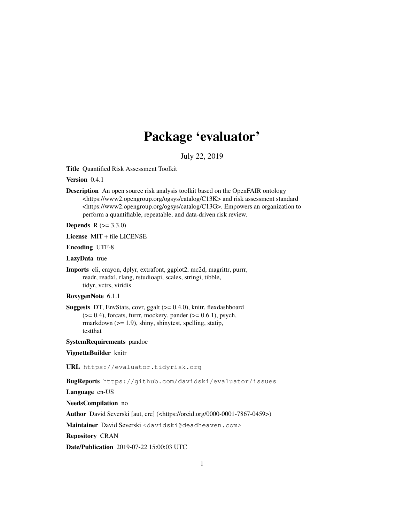# Package 'evaluator'

July 22, 2019

Title Quantified Risk Assessment Toolkit

Version 0.4.1

Description An open source risk analysis toolkit based on the OpenFAIR ontology <https://www2.opengroup.org/ogsys/catalog/C13K> and risk assessment standard <https://www2.opengroup.org/ogsys/catalog/C13G>. Empowers an organization to perform a quantifiable, repeatable, and data-driven risk review.

**Depends** R  $(>= 3.3.0)$ 

License MIT + file LICENSE

Encoding UTF-8

LazyData true

Imports cli, crayon, dplyr, extrafont, ggplot2, mc2d, magrittr, purrr, readr, readxl, rlang, rstudioapi, scales, stringi, tibble, tidyr, vctrs, viridis

### RoxygenNote 6.1.1

Suggests DT, EnvStats, covr, ggalt (>= 0.4.0), knitr, flexdashboard  $(>= 0.4)$ , forcats, furrr, mockery, pander  $(>= 0.6.1)$ , psych, rmarkdown (>= 1.9), shiny, shinytest, spelling, statip, testthat

SystemRequirements pandoc

VignetteBuilder knitr

URL https://evaluator.tidyrisk.org

BugReports https://github.com/davidski/evaluator/issues

Language en-US

NeedsCompilation no

Author David Severski [aut, cre] (<https://orcid.org/0000-0001-7867-0459>)

Maintainer David Severski <davidski@deadheaven.com>

Repository CRAN

Date/Publication 2019-07-22 15:00:03 UTC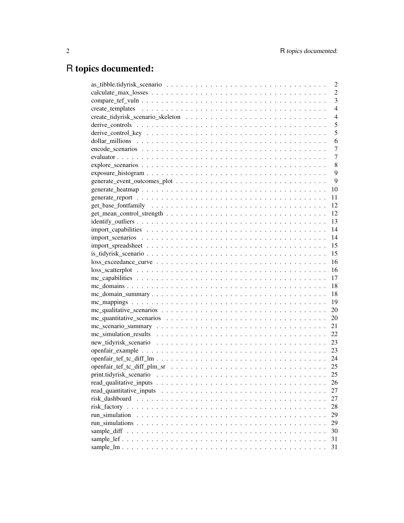# R topics documented:

|                                                                                                                    | $\overline{c}$ |
|--------------------------------------------------------------------------------------------------------------------|----------------|
|                                                                                                                    | $\overline{2}$ |
|                                                                                                                    | $\overline{3}$ |
|                                                                                                                    | $\overline{4}$ |
|                                                                                                                    | $\overline{4}$ |
|                                                                                                                    | 5              |
|                                                                                                                    | 5              |
|                                                                                                                    | 6              |
|                                                                                                                    | 7              |
|                                                                                                                    | $\overline{7}$ |
|                                                                                                                    | 8              |
|                                                                                                                    | 9              |
|                                                                                                                    | 9              |
|                                                                                                                    | 10             |
|                                                                                                                    | 11             |
|                                                                                                                    | 12             |
|                                                                                                                    | -12            |
|                                                                                                                    |                |
|                                                                                                                    |                |
|                                                                                                                    |                |
|                                                                                                                    |                |
|                                                                                                                    |                |
| $loss\_excedance\_curve \dots \dots \dots \dots \dots \dots \dots \dots \dots \dots \dots \dots \dots \dots \dots$ |                |
|                                                                                                                    |                |
|                                                                                                                    |                |
|                                                                                                                    |                |
|                                                                                                                    |                |
|                                                                                                                    |                |
|                                                                                                                    |                |
|                                                                                                                    |                |
|                                                                                                                    |                |
|                                                                                                                    | 22             |
|                                                                                                                    | 23             |
|                                                                                                                    | 23             |
|                                                                                                                    |                |
|                                                                                                                    |                |
|                                                                                                                    | 25             |
|                                                                                                                    | 26             |
|                                                                                                                    | 27             |
|                                                                                                                    | 27             |
|                                                                                                                    | 28             |
| run simulation                                                                                                     | 29             |
|                                                                                                                    | 29             |
|                                                                                                                    | 30             |
|                                                                                                                    | 31             |
|                                                                                                                    | 31             |
|                                                                                                                    |                |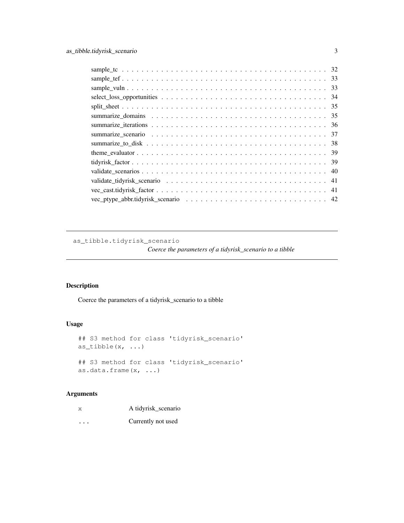as\_tibble.tidyrisk\_scenario

*Coerce the parameters of a tidyrisk\_scenario to a tibble*

## Description

Coerce the parameters of a tidyrisk\_scenario to a tibble

### Usage

```
## S3 method for class 'tidyrisk_scenario'
as_tibble(x, \ldots)
## S3 method for class 'tidyrisk_scenario'
as.data.frame(x, ...)
```
### Arguments

| X        | A tidyrisk_scenario |
|----------|---------------------|
| $\cdots$ | Currently not used  |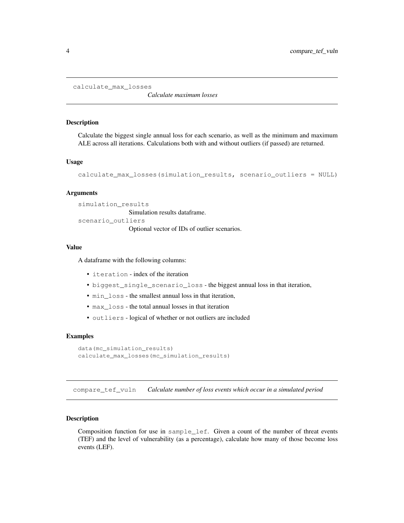```
calculate_max_losses
```
*Calculate maximum losses*

### Description

Calculate the biggest single annual loss for each scenario, as well as the minimum and maximum ALE across all iterations. Calculations both with and without outliers (if passed) are returned.

#### Usage

```
calculate_max_losses(simulation_results, scenario_outliers = NULL)
```
#### Arguments

```
simulation_results
                Simulation results dataframe.
scenario_outliers
                Optional vector of IDs of outlier scenarios.
```
#### Value

A dataframe with the following columns:

- iteration index of the iteration
- biggest\_single\_scenario\_loss the biggest annual loss in that iteration,
- min\_loss the smallest annual loss in that iteration,
- max\_loss the total annual losses in that iteration
- outliers logical of whether or not outliers are included

#### Examples

```
data(mc_simulation_results)
calculate_max_losses(mc_simulation_results)
```
compare\_tef\_vuln *Calculate number of loss events which occur in a simulated period*

### Description

Composition function for use in sample\_lef. Given a count of the number of threat events (TEF) and the level of vulnerability (as a percentage), calculate how many of those become loss events (LEF).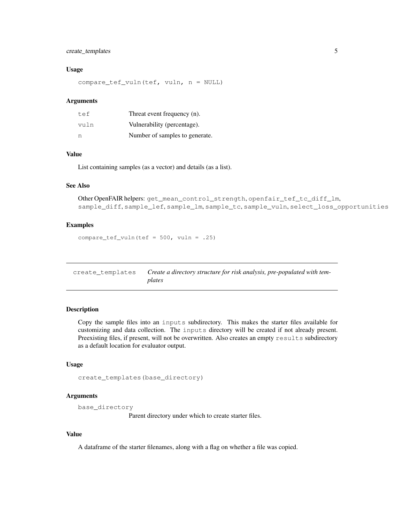### create\_templates 5

#### Usage

compare\_tef\_vuln(tef, vuln, n = NULL)

#### Arguments

| tef  | Threat event frequency (n).    |
|------|--------------------------------|
| vuln | Vulnerability (percentage).    |
| n    | Number of samples to generate. |

### Value

List containing samples (as a vector) and details (as a list).

#### See Also

```
Other OpenFAIR helpers: get_mean_control_strength, openfair_tef_tc_diff_lm,
sample_diff, sample_lef, sample_lm, sample_tc, sample_vuln, select_loss_opportunities
```
### Examples

compare\_tef\_vuln(tef =  $500$ , vuln = .25)

| create templates | Create a directory structure for risk analysis, pre-populated with tem- |
|------------------|-------------------------------------------------------------------------|
|                  | plates                                                                  |

### Description

Copy the sample files into an inputs subdirectory. This makes the starter files available for customizing and data collection. The inputs directory will be created if not already present. Preexisting files, if present, will not be overwritten. Also creates an empty results subdirectory as a default location for evaluator output.

#### Usage

```
create_templates(base_directory)
```
### Arguments

```
base_directory
```
Parent directory under which to create starter files.

#### Value

A dataframe of the starter filenames, along with a flag on whether a file was copied.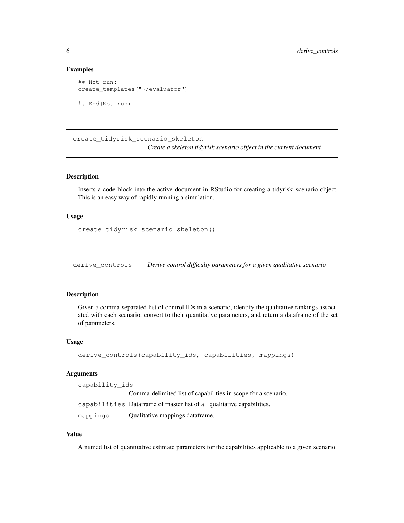#### Examples

```
## Not run:
create_templates("~/evaluator")
## End(Not run)
```
create\_tidyrisk\_scenario\_skeleton *Create a skeleton tidyrisk scenario object in the current document*

#### Description

Inserts a code block into the active document in RStudio for creating a tidyrisk\_scenario object. This is an easy way of rapidly running a simulation.

#### Usage

```
create_tidyrisk_scenario_skeleton()
```
derive\_controls *Derive control difficulty parameters for a given qualitative scenario*

#### Description

Given a comma-separated list of control IDs in a scenario, identify the qualitative rankings associated with each scenario, convert to their quantitative parameters, and return a dataframe of the set of parameters.

#### Usage

```
derive_controls(capability_ids, capabilities, mappings)
```
#### Arguments

capability\_ids Comma-delimited list of capabilities in scope for a scenario. capabilities Dataframe of master list of all qualitative capabilities. mappings Qualitative mappings dataframe.

### Value

A named list of quantitative estimate parameters for the capabilities applicable to a given scenario.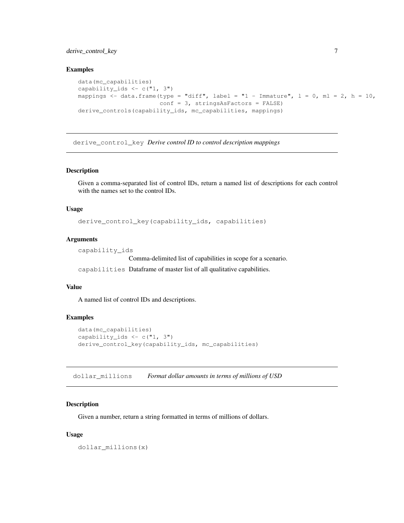### derive\_control\_key 7

#### Examples

```
data(mc_capabilities)
capability_ids \leq c("1, 3")
mappings \le - data.frame(type = "diff", label = "1 - Immature", 1 = 0, ml = 2, h = 10,
                       conf = 3, stringsAsFactors = FALSE)
derive_controls(capability_ids, mc_capabilities, mappings)
```
derive\_control\_key *Derive control ID to control description mappings*

### Description

Given a comma-separated list of control IDs, return a named list of descriptions for each control with the names set to the control IDs.

#### Usage

derive\_control\_key(capability\_ids, capabilities)

### Arguments

capability\_ids

Comma-delimited list of capabilities in scope for a scenario.

capabilities Dataframe of master list of all qualitative capabilities.

### Value

A named list of control IDs and descriptions.

#### Examples

```
data(mc_capabilities)
capability_ids \leq c("1, 3")
derive_control_key(capability_ids, mc_capabilities)
```
dollar\_millions *Format dollar amounts in terms of millions of USD*

#### Description

Given a number, return a string formatted in terms of millions of dollars.

#### Usage

dollar\_millions(x)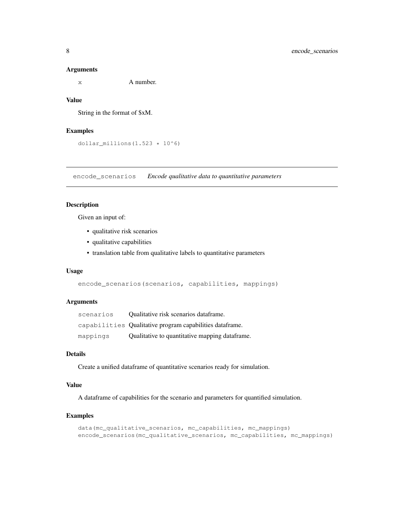#### Arguments

x A number.

### Value

String in the format of \$xM.

### Examples

dollar\_millions $(1.523 * 10<sup>0</sup>6)$ 

encode\_scenarios *Encode qualitative data to quantitative parameters*

### Description

Given an input of:

- qualitative risk scenarios
- qualitative capabilities
- translation table from qualitative labels to quantitative parameters

### Usage

```
encode_scenarios(scenarios, capabilities, mappings)
```
### Arguments

| scenarios | Qualitative risk scenarios dataframe.                    |
|-----------|----------------------------------------------------------|
|           | capabilities Qualitative program capabilities dataframe. |
| mappings  | Qualitative to quantitative mapping dataframe.           |

### Details

Create a unified dataframe of quantitative scenarios ready for simulation.

### Value

A dataframe of capabilities for the scenario and parameters for quantified simulation.

### Examples

```
data(mc_qualitative_scenarios, mc_capabilities, mc_mappings)
encode_scenarios(mc_qualitative_scenarios, mc_capabilities, mc_mappings)
```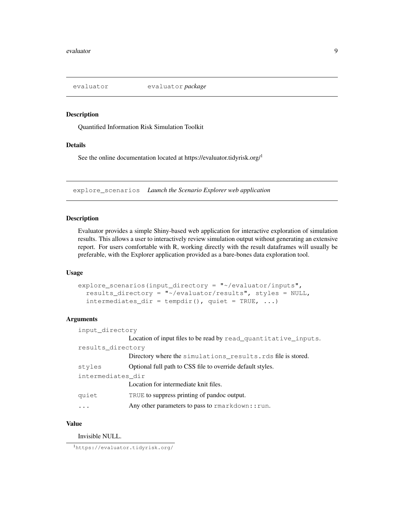Quantified Information Risk Simulation Toolkit

#### Details

See the online documentation located at https://evaluator.tidyrisk.org/<sup>1</sup>

explore\_scenarios *Launch the Scenario Explorer web application*

### Description

Evaluator provides a simple Shiny-based web application for interactive exploration of simulation results. This allows a user to interactively review simulation output without generating an extensive report. For users comfortable with R, working directly with the result dataframes will usually be preferable, with the Explorer application provided as a bare-bones data exploration tool.

### Usage

```
explore_scenarios(input_directory = "~/evaluator/inputs",
  results_directory = "~/evaluator/results", styles = NULL,
  intermediates\_dir = tempdir(), quiet = TRUE, ...)
```
### Arguments

| input_directory   |                                                                 |  |
|-------------------|-----------------------------------------------------------------|--|
|                   | Location of input files to be read by read_quantitative_inputs. |  |
| results_directory |                                                                 |  |
|                   | Directory where the simulations results.rds file is stored.     |  |
| styles            | Optional full path to CSS file to override default styles.      |  |
| intermediates dir |                                                                 |  |
|                   | Location for intermediate knit files.                           |  |
| quiet             | TRUE to suppress printing of pandoc output.                     |  |
|                   | Any other parameters to pass to rmarkdown:: run.                |  |

### Value

Invisible NULL.

<sup>1</sup>https://evaluator.tidyrisk.org/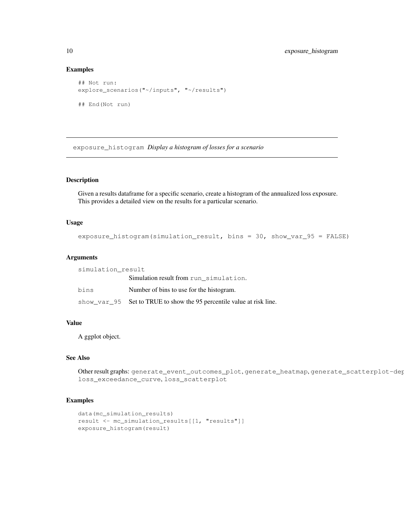#### Examples

```
## Not run:
explore_scenarios("~/inputs", "~/results")
## End(Not run)
```
exposure\_histogram *Display a histogram of losses for a scenario*

### Description

Given a results dataframe for a specific scenario, create a histogram of the annualized loss exposure. This provides a detailed view on the results for a particular scenario.

#### Usage

```
exposure_histogram(simulation_result, bins = 30, show_var_95 = FALSE)
```
#### Arguments

| simulation result |                                                                       |  |
|-------------------|-----------------------------------------------------------------------|--|
|                   | Simulation result from run simulation.                                |  |
| bins              | Number of bins to use for the histogram.                              |  |
|                   | show_var_95 Set to TRUE to show the 95 percentile value at risk line. |  |

### Value

A ggplot object.

### See Also

Other result graphs: generate\_event\_outcomes\_plot, generate\_heatmap, generate\_scatterplot-dep loss\_exceedance\_curve, loss\_scatterplot

#### Examples

```
data(mc_simulation_results)
result <- mc_simulation_results[[1, "results"]]
exposure_histogram(result)
```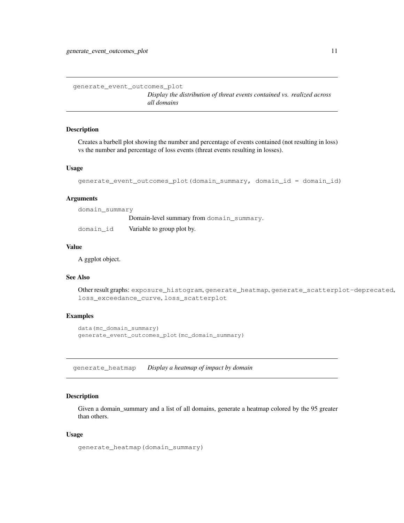generate\_event\_outcomes\_plot

*Display the distribution of threat events contained vs. realized across all domains*

#### Description

Creates a barbell plot showing the number and percentage of events contained (not resulting in loss) vs the number and percentage of loss events (threat events resulting in losses).

#### Usage

```
generate_event_outcomes_plot(domain_summary, domain_id = domain_id)
```
#### Arguments

| domain summary |                                           |
|----------------|-------------------------------------------|
|                | Domain-level summary from domain summary. |
| domain id      | Variable to group plot by.                |

#### Value

A ggplot object.

### See Also

Other result graphs: exposure\_histogram, generate\_heatmap, generate\_scatterplot-deprecated, loss\_exceedance\_curve, loss\_scatterplot

### Examples

```
data(mc_domain_summary)
generate_event_outcomes_plot(mc_domain_summary)
```
generate\_heatmap *Display a heatmap of impact by domain*

### Description

Given a domain\_summary and a list of all domains, generate a heatmap colored by the 95 greater than others.

#### Usage

```
generate_heatmap(domain_summary)
```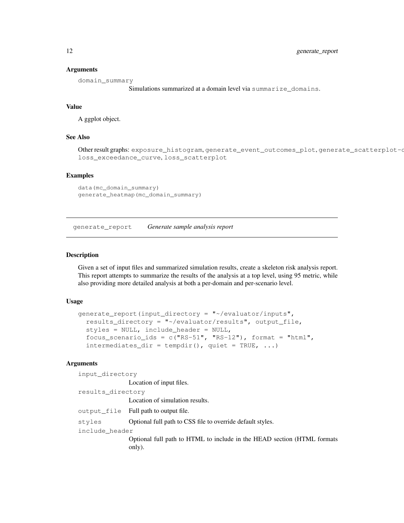#### Arguments

domain\_summary

Simulations summarized at a domain level via summarize domains.

### Value

A ggplot object.

#### See Also

Other result graphs: exposure\_histogram, generate\_event\_outcomes\_plot, generate\_scatterplotloss\_exceedance\_curve, loss\_scatterplot

#### Examples

```
data(mc_domain_summary)
generate_heatmap(mc_domain_summary)
```
generate\_report *Generate sample analysis report*

### Description

Given a set of input files and summarized simulation results, create a skeleton risk analysis report. This report attempts to summarize the results of the analysis at a top level, using 95 metric, while also providing more detailed analysis at both a per-domain and per-scenario level.

#### Usage

```
generate_report(input_directory = "~/evaluator/inputs",
  results_directory = "~/evaluator/results", output_file,
  styles = NULL, include_header = NULL,
  focus_scenario_ids = c("RS-51", "RS-12"), format = "html",
  intermediates\_dir = tempdir(), quiet = TRUE, ...)
```
#### Arguments

input\_directory

Location of input files.

```
results_directory
                Location of simulation results.
output_file Full path to output file.
styles Optional full path to CSS file to override default styles.
include_header
                Optional full path to HTML to include in the HEAD section (HTML formats
                only).
```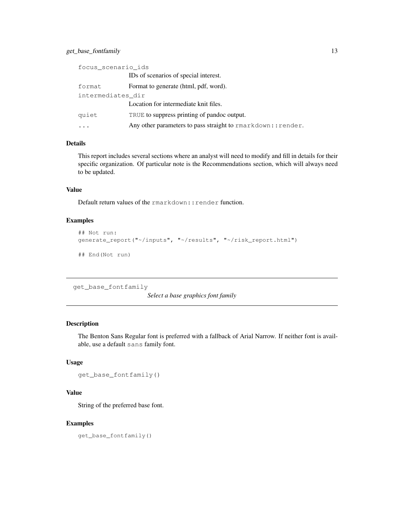### get\_base\_fontfamily 13

| focus_scenario_ids |                                                              |  |
|--------------------|--------------------------------------------------------------|--|
|                    | IDs of scenarios of special interest.                        |  |
| format             | Format to generate (html, pdf, word).                        |  |
| intermediates dir  |                                                              |  |
|                    | Location for intermediate knit files.                        |  |
| quiet              | TRUE to suppress printing of pandoc output.                  |  |
|                    | Any other parameters to pass straight to rmarkdown:: render. |  |

### Details

This report includes several sections where an analyst will need to modify and fill in details for their specific organization. Of particular note is the Recommendations section, which will always need to be updated.

### Value

Default return values of the rmarkdown:: render function.

### Examples

```
## Not run:
generate_report("~/inputs", "~/results", "~/risk_report.html")
## End(Not run)
```
get\_base\_fontfamily

*Select a base graphics font family*

### Description

The Benton Sans Regular font is preferred with a fallback of Arial Narrow. If neither font is available, use a default sans family font.

#### Usage

get\_base\_fontfamily()

### Value

String of the preferred base font.

### Examples

get\_base\_fontfamily()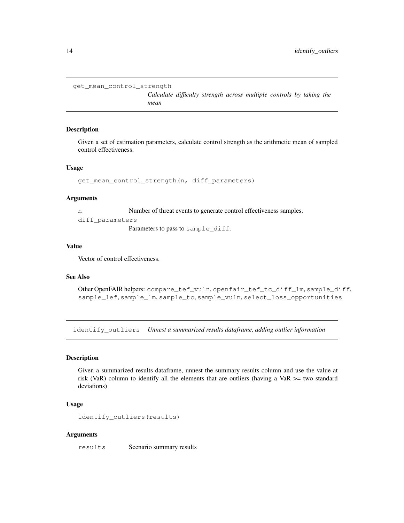```
get_mean_control_strength
```
*Calculate difficulty strength across multiple controls by taking the mean*

#### Description

Given a set of estimation parameters, calculate control strength as the arithmetic mean of sampled control effectiveness.

#### Usage

```
get_mean_control_strength(n, diff_parameters)
```
#### Arguments

n Number of threat events to generate control effectiveness samples. diff\_parameters

Parameters to pass to sample\_diff.

### Value

Vector of control effectiveness.

### See Also

```
Other OpenFAIR helpers: compare_tef_vuln, openfair_tef_tc_diff_lm, sample_diff,
sample_lef, sample_lm, sample_tc, sample_vuln, select_loss_opportunities
```
identify\_outliers *Unnest a summarized results dataframe, adding outlier information*

### Description

Given a summarized results dataframe, unnest the summary results column and use the value at risk (VaR) column to identify all the elements that are outliers (having a VaR  $\ge$ = two standard deviations)

### Usage

```
identify_outliers(results)
```
#### Arguments

results Scenario summary results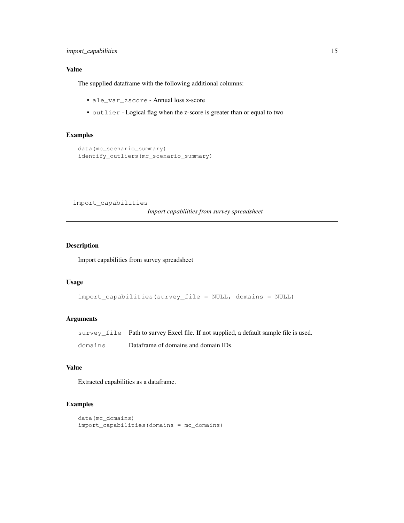### Value

The supplied dataframe with the following additional columns:

- ale\_var\_zscore Annual loss z-score
- outlier Logical flag when the z-score is greater than or equal to two

## Examples

```
data(mc_scenario_summary)
identify_outliers(mc_scenario_summary)
```
import\_capabilities

*Import capabilities from survey spreadsheet*

### Description

Import capabilities from survey spreadsheet

#### Usage

```
import_capabilities(survey_file = NULL, domains = NULL)
```
### Arguments

|         | survey_file Path to survey Excel file. If not supplied, a default sample file is used. |
|---------|----------------------------------------------------------------------------------------|
| domains | Dataframe of domains and domain IDs.                                                   |

### Value

Extracted capabilities as a dataframe.

### Examples

```
data(mc_domains)
import_capabilities(domains = mc_domains)
```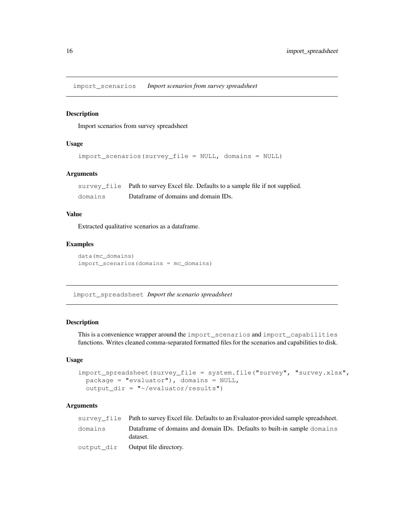import\_scenarios *Import scenarios from survey spreadsheet*

#### Description

Import scenarios from survey spreadsheet

#### Usage

```
import_scenarios(survey_file = NULL, domains = NULL)
```
### Arguments

survey\_file Path to survey Excel file. Defaults to a sample file if not supplied. domains Dataframe of domains and domain IDs.

### Value

Extracted qualitative scenarios as a dataframe.

### Examples

```
data(mc_domains)
import_scenarios(domains = mc_domains)
```
import\_spreadsheet *Import the scenario spreadsheet*

#### Description

This is a convenience wrapper around the import\_scenarios and import\_capabilities functions. Writes cleaned comma-separated formatted files for the scenarios and capabilities to disk.

### Usage

```
import_spreadsheet(survey_file = system.file("survey", "survey.xlsx",
 package = "evaluator"), domains = NULL,
 output\_dir = "~/evaluator/results")
```
#### Arguments

|         | survey file Path to survey Excel file. Defaults to an Evaluator-provided sample spreadsheet. |
|---------|----------------------------------------------------------------------------------------------|
| domains | Dataframe of domains and domain IDs. Defaults to built-in sample domains<br>dataset.         |
|         | output dir <b>Output file directory.</b>                                                     |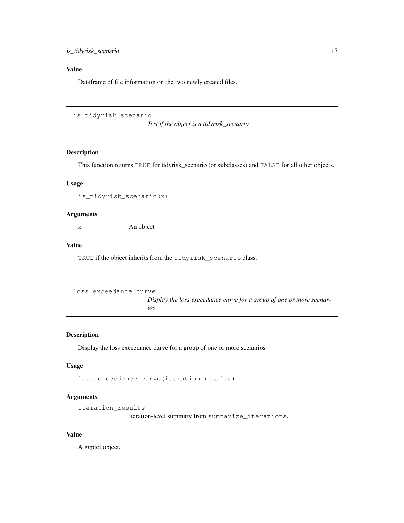### Value

Dataframe of file information on the two newly created files.

is\_tidyrisk\_scenario

*Test if the object is a tidyrisk\_scenario*

### Description

This function returns TRUE for tidyrisk\_scenario (or subclasses) and FALSE for all other objects.

### Usage

is\_tidyrisk\_scenario(x)

### Arguments

x An object

### Value

TRUE if the object inherits from the tidyrisk\_scenario class.

```
loss_exceedance_curve
```
*Display the loss exceedance curve for a group of one or more scenarios*

### Description

Display the loss exceedance curve for a group of one or more scenarios

#### Usage

```
loss_exceedance_curve(iteration_results)
```
### Arguments

```
iteration_results
```
Iteration-level summary from summarize\_iterations.

### Value

A ggplot object.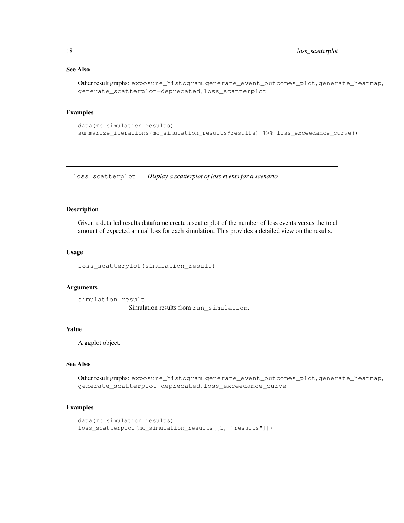### See Also

```
Other result graphs: exposure_histogram, generate_event_outcomes_plot, generate_heatmap,
generate_scatterplot-deprecated, loss_scatterplot
```
### Examples

```
data(mc_simulation_results)
summarize_iterations(mc_simulation_results$results) %>% loss_exceedance_curve()
```
loss\_scatterplot *Display a scatterplot of loss events for a scenario*

#### Description

Given a detailed results dataframe create a scatterplot of the number of loss events versus the total amount of expected annual loss for each simulation. This provides a detailed view on the results.

#### Usage

loss\_scatterplot(simulation\_result)

#### Arguments

simulation\_result Simulation results from run\_simulation.

### Value

A ggplot object.

#### See Also

Other result graphs: exposure\_histogram, generate\_event\_outcomes\_plot, generate\_heatmap, generate\_scatterplot-deprecated, loss\_exceedance\_curve

### Examples

```
data(mc_simulation_results)
loss_scatterplot(mc_simulation_results[[1, "results"]])
```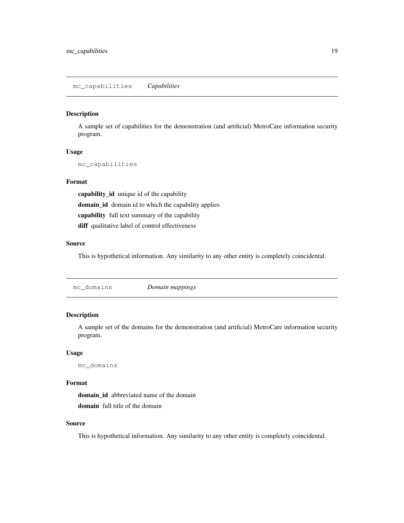A sample set of capabilities for the demonstration (and artificial) MetroCare information security program.

### Usage

mc\_capabilities

### Format

capability\_id unique id of the capability domain\_id domain id to which the capability applies capability full text summary of the capability diff qualitative label of control effectiveness

#### Source

This is hypothetical information. Any similarity to any other entity is completely coincidental.

### Description

A sample set of the domains for the demonstration (and artificial) MetroCare information security program.

### Usage

mc\_domains

#### Format

domain\_id abbreviated name of the domain domain full title of the domain

### Source

This is hypothetical information. Any similarity to any other entity is completely coincidental.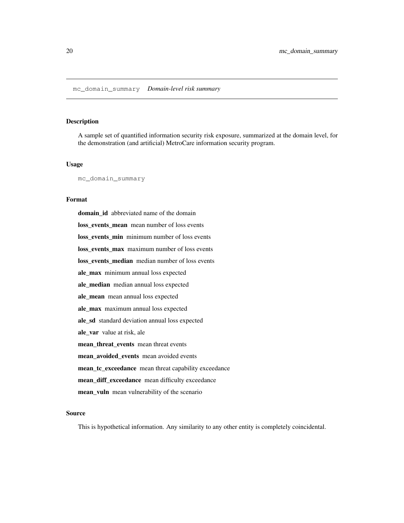A sample set of quantified information security risk exposure, summarized at the domain level, for the demonstration (and artificial) MetroCare information security program.

#### Usage

mc\_domain\_summary

### Format

domain\_id abbreviated name of the domain loss\_events\_mean mean number of loss events loss events min minimum number of loss events loss\_events\_max maximum number of loss events loss\_events\_median median number of loss events ale\_max minimum annual loss expected ale\_median median annual loss expected ale\_mean mean annual loss expected ale\_max maximum annual loss expected ale\_sd standard deviation annual loss expected ale\_var value at risk, ale mean\_threat\_events mean threat events mean\_avoided\_events mean avoided events mean\_tc\_exceedance mean threat capability exceedance mean\_diff\_exceedance mean difficulty exceedance mean\_vuln mean vulnerability of the scenario

### Source

This is hypothetical information. Any similarity to any other entity is completely coincidental.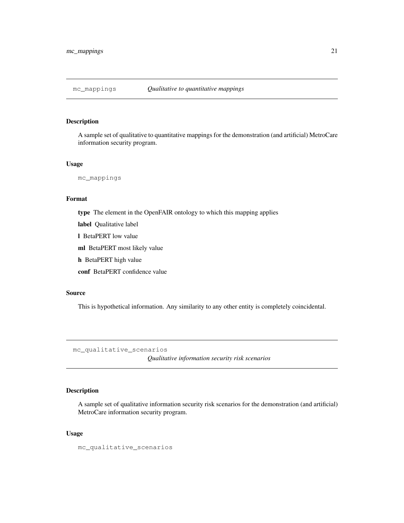A sample set of qualitative to quantitative mappings for the demonstration (and artificial) MetroCare information security program.

#### Usage

mc\_mappings

#### Format

type The element in the OpenFAIR ontology to which this mapping applies

label Qualitative label

l BetaPERT low value

ml BetaPERT most likely value

h BetaPERT high value

conf BetaPERT confidence value

#### Source

This is hypothetical information. Any similarity to any other entity is completely coincidental.

mc\_qualitative\_scenarios

*Qualitative information security risk scenarios*

### Description

A sample set of qualitative information security risk scenarios for the demonstration (and artificial) MetroCare information security program.

#### Usage

mc\_qualitative\_scenarios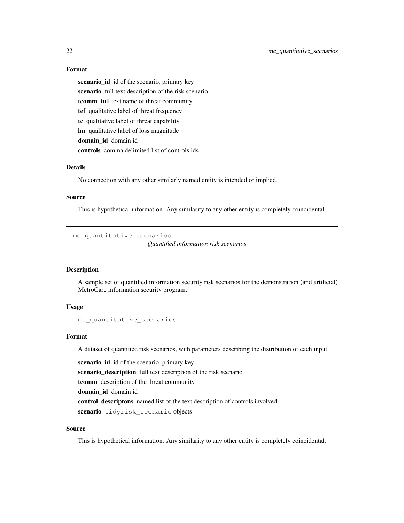#### Format

scenario\_id id of the scenario, primary key scenario full text description of the risk scenario tcomm full text name of threat community tef qualitative label of threat frequency tc qualitative label of threat capability lm qualitative label of loss magnitude domain\_id domain id controls comma delimited list of controls ids

### Details

No connection with any other similarly named entity is intended or implied.

#### Source

This is hypothetical information. Any similarity to any other entity is completely coincidental.

mc\_quantitative\_scenarios

*Quantified information risk scenarios*

### **Description**

A sample set of quantified information security risk scenarios for the demonstration (and artificial) MetroCare information security program.

#### Usage

```
mc_quantitative_scenarios
```
### Format

A dataset of quantified risk scenarios, with parameters describing the distribution of each input.

scenario\_id id of the scenario, primary key scenario\_description full text description of the risk scenario tcomm description of the threat community domain\_id domain id control\_descriptons named list of the text description of controls involved scenario tidyrisk\_scenario objects

### Source

This is hypothetical information. Any similarity to any other entity is completely coincidental.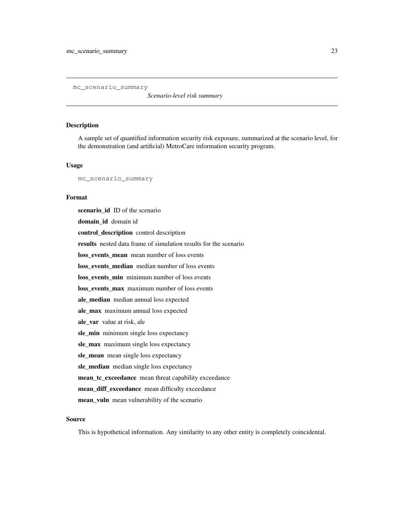mc\_scenario\_summary

*Scenario-level risk summary*

#### Description

A sample set of quantified information security risk exposure, summarized at the scenario level, for the demonstration (and artificial) MetroCare information security program.

#### Usage

mc\_scenario\_summary

#### Format

scenario\_id ID of the scenario domain\_id domain id control\_description control description results nested data frame of simulation results for the scenario loss events mean mean number of loss events loss events median median number of loss events loss events min minimum number of loss events loss\_events\_max maximum number of loss events ale\_median median annual loss expected ale\_max maximum annual loss expected ale\_var value at risk, ale sle\_min minimum single loss expectancy sle\_max maximum single loss expectancy sle\_mean mean single loss expectancy sle\_median median single loss expectancy mean\_tc\_exceedance mean threat capability exceedance mean\_diff\_exceedance mean difficulty exceedance mean\_vuln mean vulnerability of the scenario

#### Source

This is hypothetical information. Any similarity to any other entity is completely coincidental.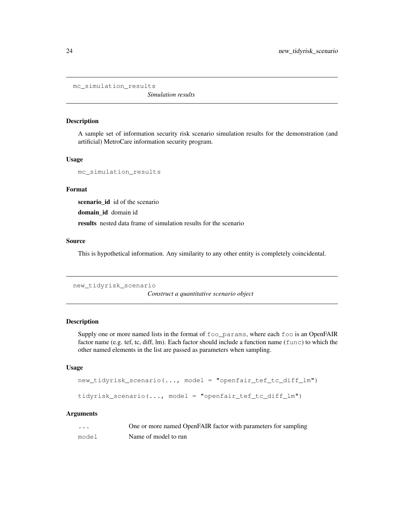mc\_simulation\_results

*Simulation results*

#### Description

A sample set of information security risk scenario simulation results for the demonstration (and artificial) MetroCare information security program.

### Usage

```
mc_simulation_results
```
#### Format

scenario\_id id of the scenario

domain\_id domain id

results nested data frame of simulation results for the scenario

### Source

This is hypothetical information. Any similarity to any other entity is completely coincidental.

new\_tidyrisk\_scenario

*Construct a quantitative scenario object*

### Description

Supply one or more named lists in the format of foo\_params, where each foo is an OpenFAIR factor name (e.g. tef, tc, diff, lm). Each factor should include a function name (func) to which the other named elements in the list are passed as parameters when sampling.

#### Usage

```
new_tidyrisk_scenario(..., model = "openfair_tef_tc_diff_lm")
tidyrisk_scenario(..., model = "openfair_tef_tc_diff_lm")
```
### Arguments

| $\cdots$ | One or more named OpenFAIR factor with parameters for sampling |
|----------|----------------------------------------------------------------|
| model    | Name of model to run                                           |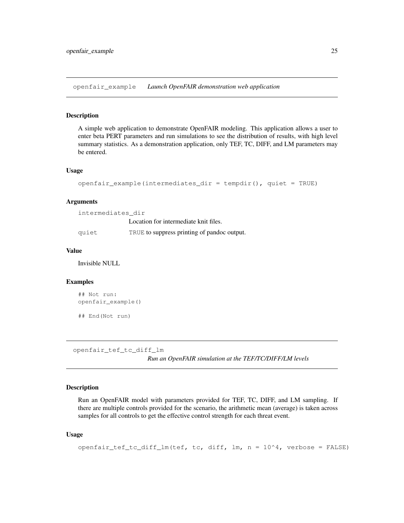openfair\_example *Launch OpenFAIR demonstration web application*

### Description

A simple web application to demonstrate OpenFAIR modeling. This application allows a user to enter beta PERT parameters and run simulations to see the distribution of results, with high level summary statistics. As a demonstration application, only TEF, TC, DIFF, and LM parameters may be entered.

#### Usage

```
openfair\_example(intermediates_dir = tempdir(), quiet = TRUE)
```
#### Arguments

| intermediates dir |                                             |
|-------------------|---------------------------------------------|
|                   | Location for intermediate knit files.       |
| quiet             | TRUE to suppress printing of pandoc output. |

#### Value

Invisible NULL

#### Examples

```
## Not run:
openfair_example()
## End(Not run)
```
openfair\_tef\_tc\_diff\_lm

*Run an OpenFAIR simulation at the TEF/TC/DIFF/LM levels*

#### Description

Run an OpenFAIR model with parameters provided for TEF, TC, DIFF, and LM sampling. If there are multiple controls provided for the scenario, the arithmetic mean (average) is taken across samples for all controls to get the effective control strength for each threat event.

#### Usage

```
openfair_test_to_dict_lm(tef, tc, diff_lm, n = 10^4, verbose = FALSE)
```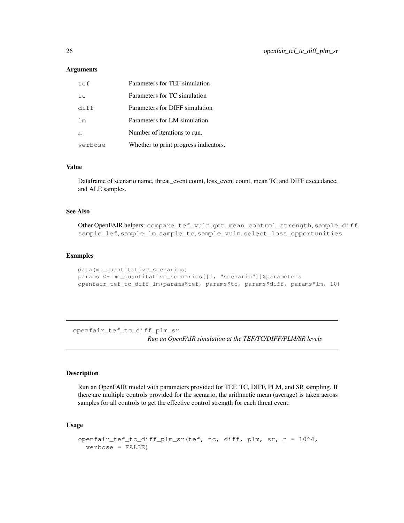#### **Arguments**

| t e f          | Parameters for TEF simulation         |
|----------------|---------------------------------------|
| tα             | Parameters for TC simulation          |
| diff           | Parameters for DIFF simulation        |
| 1 <sub>m</sub> | Parameters for LM simulation          |
| n              | Number of iterations to run.          |
| verbose        | Whether to print progress indicators. |

#### Value

Dataframe of scenario name, threat\_event count, loss\_event count, mean TC and DIFF exceedance, and ALE samples.

### See Also

Other OpenFAIR helpers: compare\_tef\_vuln, get\_mean\_control\_strength, sample\_diff, sample\_lef, sample\_lm, sample\_tc, sample\_vuln, select\_loss\_opportunities

#### Examples

```
data(mc_quantitative_scenarios)
params <- mc_quantitative_scenarios[[1, "scenario"]]$parameters
openfair_tef_tc_diff_lm(params$tef, params$tc, params$diff, params$lm, 10)
```
openfair\_tef\_tc\_diff\_plm\_sr *Run an OpenFAIR simulation at the TEF/TC/DIFF/PLM/SR levels*

#### Description

Run an OpenFAIR model with parameters provided for TEF, TC, DIFF, PLM, and SR sampling. If there are multiple controls provided for the scenario, the arithmetic mean (average) is taken across samples for all controls to get the effective control strength for each threat event.

#### Usage

```
openfair_tef_tc_diff_plm_sr(tef, tc, diff, plm, sr, n = 10^4,
 verbose = FALSE)
```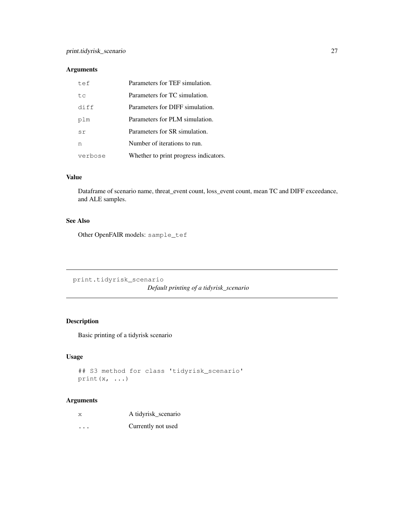### Arguments

| tef     | Parameters for TEF simulation.        |
|---------|---------------------------------------|
| ŧα      | Parameters for TC simulation.         |
| diff    | Parameters for DIFF simulation.       |
| plm     | Parameters for PLM simulation.        |
| sr      | Parameters for SR simulation.         |
| n       | Number of iterations to run.          |
| verbose | Whether to print progress indicators. |

### Value

Dataframe of scenario name, threat\_event count, loss\_event count, mean TC and DIFF exceedance, and ALE samples.

### See Also

Other OpenFAIR models: sample\_tef

print.tidyrisk\_scenario

*Default printing of a tidyrisk\_scenario*

### Description

Basic printing of a tidyrisk scenario

### Usage

```
## S3 method for class 'tidyrisk_scenario'
print(x, ...)
```
### Arguments

| X        | A tidyrisk_scenario |
|----------|---------------------|
| $\cdots$ | Currently not used  |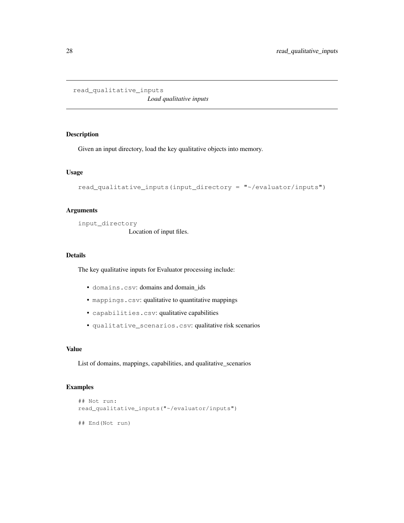```
read_qualitative_inputs
```
*Load qualitative inputs*

### Description

Given an input directory, load the key qualitative objects into memory.

#### Usage

```
read_qualitative_inputs(input_directory = "~/evaluator/inputs")
```
### Arguments

input\_directory

Location of input files.

### Details

The key qualitative inputs for Evaluator processing include:

- domains.csv: domains and domain\_ids
- mappings.csv: qualitative to quantitative mappings
- capabilities.csv: qualitative capabilities
- qualitative\_scenarios.csv: qualitative risk scenarios

#### Value

List of domains, mappings, capabilities, and qualitative\_scenarios

### Examples

```
## Not run:
read_qualitative_inputs("~/evaluator/inputs")
## End(Not run)
```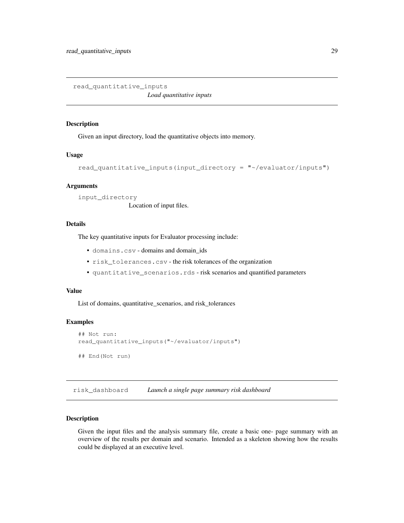read\_quantitative\_inputs

*Load quantitative inputs*

#### Description

Given an input directory, load the quantitative objects into memory.

#### Usage

```
read_quantitative_inputs(input_directory = "~/evaluator/inputs")
```
#### Arguments

input\_directory Location of input files.

#### Details

The key quantitative inputs for Evaluator processing include:

- domains.csv domains and domain\_ids
- risk\_tolerances.csv the risk tolerances of the organization
- quantitative\_scenarios.rds risk scenarios and quantified parameters

### Value

List of domains, quantitative\_scenarios, and risk\_tolerances

#### Examples

```
## Not run:
read_quantitative_inputs("~/evaluator/inputs")
## End(Not run)
```
risk\_dashboard *Launch a single page summary risk dashboard*

### Description

Given the input files and the analysis summary file, create a basic one- page summary with an overview of the results per domain and scenario. Intended as a skeleton showing how the results could be displayed at an executive level.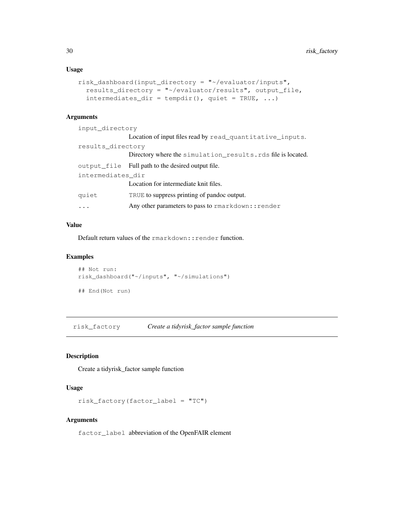#### Usage

```
risk_dashboard(input_directory = "~/evaluator/inputs",
  results_directory = "~/evaluator/results", output_file,
  intermediates\_dir = tempdir(), quiet = TRUE, ...)
```
### Arguments

| input directory   |                                                              |  |
|-------------------|--------------------------------------------------------------|--|
|                   | Location of input files read by read_quantitative_inputs.    |  |
| results directory |                                                              |  |
|                   | Directory where the simulation results. rds file is located. |  |
|                   | output file Full path to the desired output file.            |  |
| intermediates dir |                                                              |  |
|                   | Location for intermediate knit files.                        |  |
| quiet             | TRUE to suppress printing of pandoc output.                  |  |
|                   | Any other parameters to pass to rmarkdown:: render           |  |

### Value

Default return values of the rmarkdown:: render function.

### Examples

```
## Not run:
risk_dashboard("~/inputs", "~/simulations")
## End(Not run)
```
risk\_factory *Create a tidyrisk\_factor sample function*

## Description

Create a tidyrisk\_factor sample function

### Usage

```
risk_factory(factor_label = "TC")
```
#### Arguments

factor\_label abbreviation of the OpenFAIR element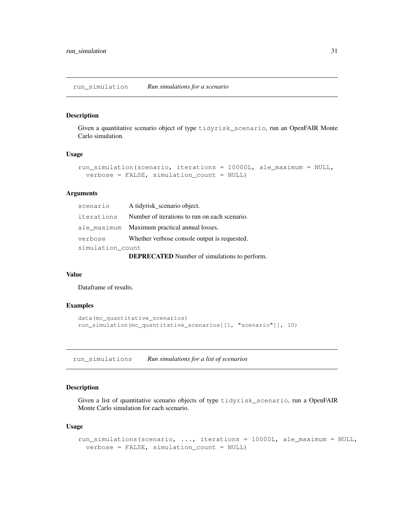run\_simulation *Run simulations for a scenario*

#### Description

Given a quantitative scenario object of type tidyrisk\_scenario, run an OpenFAIR Monte Carlo simulation.

#### Usage

```
run_simulation(scenario, iterations = 10000L, ale_maximum = NULL,
 verbose = FALSE, simulation_count = NULL)
```
#### Arguments

| scenario                                            | A tidyrisk_scenario object.                   |
|-----------------------------------------------------|-----------------------------------------------|
| iterations                                          | Number of iterations to run on each scenario. |
|                                                     | ale_maximum Maximum practical annual losses.  |
| verbose                                             | Whether verbose console output is requested.  |
| simulation count                                    |                                               |
| <b>DEPRECATED</b> Number of simulations to perform. |                                               |

#### Value

Dataframe of results.

### Examples

```
data(mc_quantitative_scenarios)
run_simulation(mc_quantitative_scenarios[[1, "scenario"]], 10)
```
run\_simulations *Run simulations for a list of scenarios*

#### Description

Given a list of quantitative scenario objects of type tidyrisk\_scenario, run a OpenFAIR Monte Carlo simulation for each scenario.

#### Usage

```
run_simulations(scenario, ..., iterations = 10000L, ale_maximum = NULL,
 verbose = FALSE, simulation_count = NULL)
```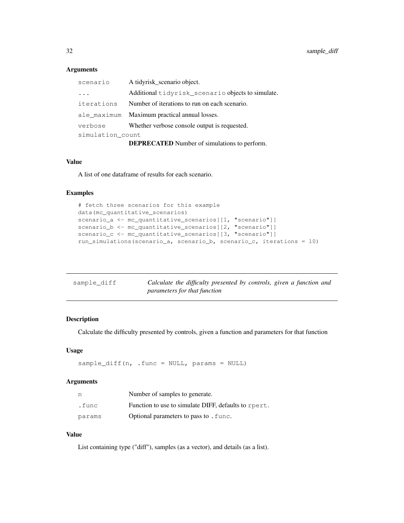### Arguments

| scenario                                            | A tidyrisk_scenario object.                       |  |
|-----------------------------------------------------|---------------------------------------------------|--|
| $\ddots$                                            | Additional tidyrisk_scenario objects to simulate. |  |
| iterations                                          | Number of iterations to run on each scenario.     |  |
| ale maximum                                         | Maximum practical annual losses.                  |  |
| verbose                                             | Whether verbose console output is requested.      |  |
| simulation count                                    |                                                   |  |
| <b>DEPRECATED</b> Number of simulations to perform. |                                                   |  |

#### Value

A list of one dataframe of results for each scenario.

### Examples

```
# fetch three scenarios for this example
data(mc_quantitative_scenarios)
scenario_a <- mc_quantitative_scenarios[[1, "scenario"]]
scenario_b <- mc_quantitative_scenarios[[2, "scenario"]]
scenario_c <- mc_quantitative_scenarios[[3, "scenario"]]
run_simulations(scenario_a, scenario_b, scenario_c, iterations = 10)
```

| sample diff | Calculate the difficulty presented by controls, given a function and |
|-------------|----------------------------------------------------------------------|
|             | <i>parameters for that function</i>                                  |

### Description

Calculate the difficulty presented by controls, given a function and parameters for that function

#### Usage

sample\_diff(n, .func = NULL, params = NULL)

### Arguments

| n      | Number of samples to generate.                       |
|--------|------------------------------------------------------|
| .func  | Function to use to simulate DIFF, defaults to rpert. |
| params | Optional parameters to pass to . func.               |

### Value

List containing type ("diff"), samples (as a vector), and details (as a list).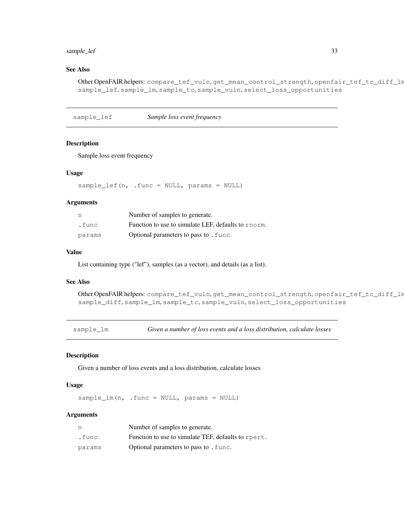### sample\_lef 33

### See Also

Other OpenFAIR helpers: compare\_tef\_vuln, get\_mean\_control\_strength, openfair\_tef\_tc\_diff\_lm sample\_lef, sample\_lm, sample\_tc, sample\_vuln, select\_loss\_opportunities

sample\_lef *Sample loss event frequency*

#### Description

Sample loss event frequency

#### Usage

sample\_lef(n, .func = NULL, params = NULL)

#### Arguments

| n      | Number of samples to generate.                      |
|--------|-----------------------------------------------------|
| .func  | Function to use to simulate LEF, defaults to rnorm. |
| params | Optional parameters to pass to . func.              |

### Value

List containing type ("lef"), samples (as a vector), and details (as a list).

### See Also

```
Other OpenFAIR helpers: compare_tef_vuln, get_mean_control_strength, openfair_tef_tc_diff_lm,
sample_diff, sample_lm, sample_tc, sample_vuln, select_loss_opportunities
```
sample\_lm *Given a number of loss events and a loss distribution, calculate losses*

### Description

Given a number of loss events and a loss distribution, calculate losses

#### Usage

sample\_lm(n, .func = NULL, params = NULL)

#### Arguments

| n      | Number of samples to generate.                      |
|--------|-----------------------------------------------------|
| .func  | Function to use to simulate TEF, defaults to rpert. |
| params | Optional parameters to pass to . func.              |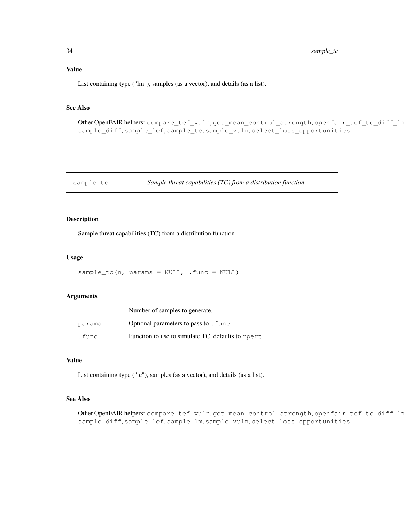### Value

List containing type ("lm"), samples (as a vector), and details (as a list).

#### See Also

Other OpenFAIR helpers: compare\_tef\_vuln, get\_mean\_control\_strength, openfair\_tef\_tc\_diff\_lm, sample\_diff, sample\_lef, sample\_tc, sample\_vuln, select\_loss\_opportunities

sample\_tc *Sample threat capabilities (TC) from a distribution function*

### Description

Sample threat capabilities (TC) from a distribution function

### Usage

sample\_tc(n, params = NULL, .func = NULL)

#### Arguments

| n      | Number of samples to generate.                     |
|--------|----------------------------------------------------|
| params | Optional parameters to pass to . func.             |
| .func  | Function to use to simulate TC, defaults to rpert. |

### Value

List containing type ("tc"), samples (as a vector), and details (as a list).

#### See Also

Other OpenFAIR helpers: compare\_tef\_vuln, get\_mean\_control\_strength, openfair\_tef\_tc\_diff\_ln sample\_diff, sample\_lef, sample\_lm, sample\_vuln, select\_loss\_opportunities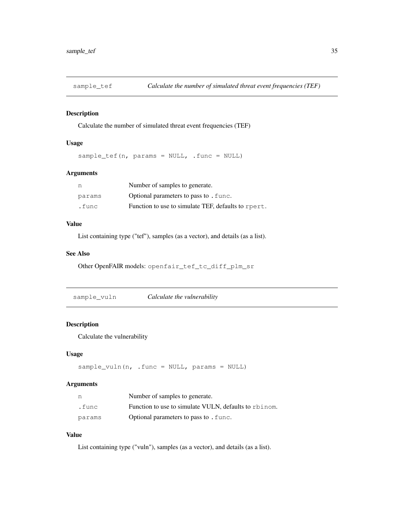Calculate the number of simulated threat event frequencies (TEF)

#### Usage

sample\_tef(n, params = NULL, .func = NULL)

### Arguments

| n      | Number of samples to generate.                      |
|--------|-----------------------------------------------------|
| params | Optional parameters to pass to . func.              |
| .func  | Function to use to simulate TEF, defaults to rpert. |

### Value

List containing type ("tef"), samples (as a vector), and details (as a list).

### See Also

Other OpenFAIR models: openfair\_tef\_tc\_diff\_plm\_sr

sample\_vuln *Calculate the vulnerability*

### Description

Calculate the vulnerability

#### Usage

```
sample_vuln(n, .func = NULL, params = NULL)
```
#### Arguments

| n      | Number of samples to generate.                        |
|--------|-------------------------------------------------------|
| .func  | Function to use to simulate VULN, defaults to rbinom. |
| params | Optional parameters to pass to . func.                |

### Value

List containing type ("vuln"), samples (as a vector), and details (as a list).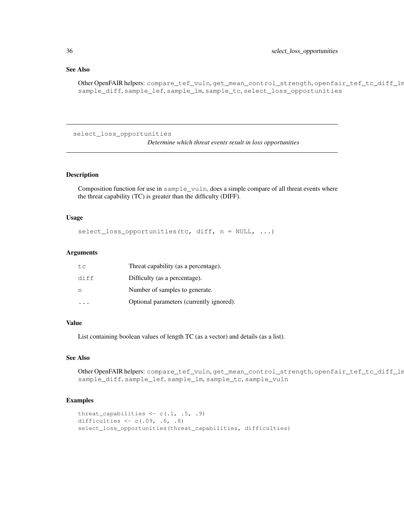### See Also

Other OpenFAIR helpers: compare\_tef\_vuln, get\_mean\_control\_strength, openfair\_tef\_tc\_diff\_lm, sample\_diff, sample\_lef, sample\_lm, sample\_tc, select\_loss\_opportunities

```
select_loss_opportunities
```
*Determine which threat events result in loss opportunities*

### Description

Composition function for use in sample\_vuln, does a simple compare of all threat events where the threat capability (TC) is greater than the difficulty (DIFF).

#### Usage

select\_loss\_opportunities(tc, diff,  $n = NULL, ...$ )

#### Arguments

| tc   | Threat capability (as a percentage).     |
|------|------------------------------------------|
| diff | Difficulty (as a percentage).            |
| n    | Number of samples to generate.           |
|      | Optional parameters (currently ignored). |

### Value

List containing boolean values of length TC (as a vector) and details (as a list).

### See Also

Other OpenFAIR helpers: compare\_tef\_vuln, get\_mean\_control\_strength, openfair\_tef\_tc\_diff\_lm, sample\_diff, sample\_lef, sample\_lm, sample\_tc, sample\_vuln

#### Examples

```
threat_capabilities \leftarrow c(.1, .5, .9)difficulties \leftarrow c(.09, .6, .8)select_loss_opportunities(threat_capabilities, difficulties)
```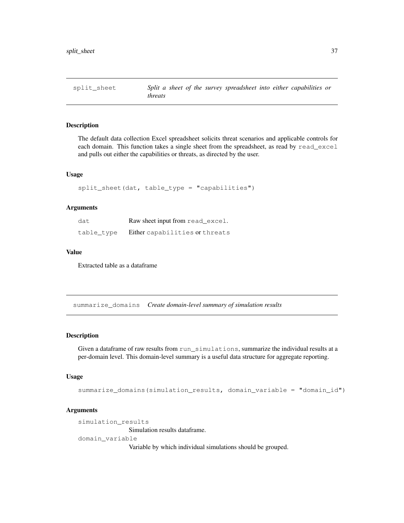split\_sheet *Split a sheet of the survey spreadsheet into either capabilities or threats*

### Description

The default data collection Excel spreadsheet solicits threat scenarios and applicable controls for each domain. This function takes a single sheet from the spreadsheet, as read by read\_excel and pulls out either the capabilities or threats, as directed by the user.

### Usage

```
split_sheet(dat, table_type = "capabilities")
```
### **Arguments**

| dat        | Raw sheet input from read_excel. |
|------------|----------------------------------|
| table type | Either capabilities or threats   |

#### Value

Extracted table as a dataframe

summarize\_domains *Create domain-level summary of simulation results*

#### Description

Given a dataframe of raw results from run\_simulations, summarize the individual results at a per-domain level. This domain-level summary is a useful data structure for aggregate reporting.

#### Usage

```
summarize_domains(simulation_results, domain_variable = "domain_id")
```
### Arguments

```
simulation_results
```
Simulation results dataframe.

domain\_variable

Variable by which individual simulations should be grouped.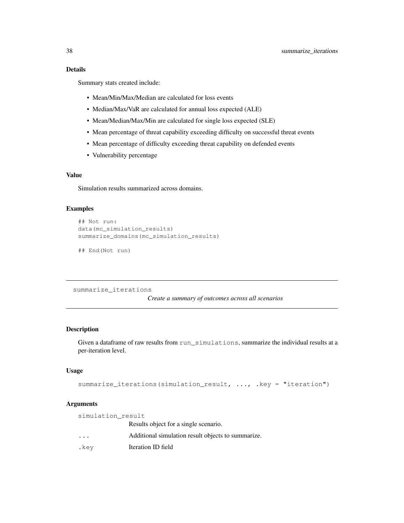Summary stats created include:

- Mean/Min/Max/Median are calculated for loss events
- Median/Max/VaR are calculated for annual loss expected (ALE)
- Mean/Median/Max/Min are calculated for single loss expected (SLE)
- Mean percentage of threat capability exceeding difficulty on successful threat events
- Mean percentage of difficulty exceeding threat capability on defended events
- Vulnerability percentage

### Value

Simulation results summarized across domains.

#### Examples

```
## Not run:
data(mc_simulation_results)
summarize_domains(mc_simulation_results)
```

```
## End(Not run)
```
summarize\_iterations

*Create a summary of outcomes across all scenarios*

#### Description

Given a dataframe of raw results from run\_simulations, summarize the individual results at a per-iteration level.

### Usage

```
summarize_iterations(simulation_result, ..., .key = "iteration")
```
## Arguments

| simulation result       |                                                    |
|-------------------------|----------------------------------------------------|
|                         | Results object for a single scenario.              |
| $\cdot$ $\cdot$ $\cdot$ | Additional simulation result objects to summarize. |
| .key                    | Iteration ID field                                 |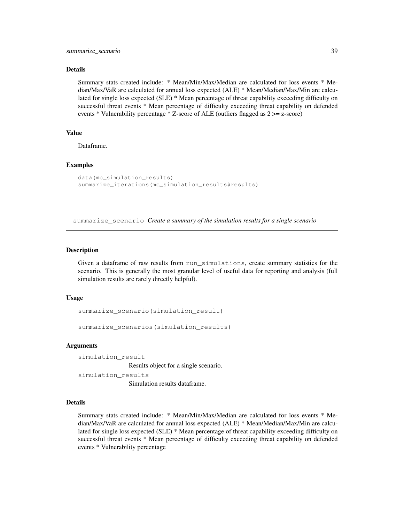#### Details

Summary stats created include: \* Mean/Min/Max/Median are calculated for loss events \* Median/Max/VaR are calculated for annual loss expected (ALE) \* Mean/Median/Max/Min are calculated for single loss expected (SLE) \* Mean percentage of threat capability exceeding difficulty on successful threat events \* Mean percentage of difficulty exceeding threat capability on defended events \* Vulnerability percentage \* Z-score of ALE (outliers flagged as 2 >= z-score)

### Value

Dataframe.

#### Examples

```
data(mc_simulation_results)
summarize_iterations(mc_simulation_results$results)
```
summarize\_scenario *Create a summary of the simulation results for a single scenario*

#### Description

Given a dataframe of raw results from run\_simulations, create summary statistics for the scenario. This is generally the most granular level of useful data for reporting and analysis (full simulation results are rarely directly helpful).

#### Usage

```
summarize_scenario(simulation_result)
```
summarize\_scenarios(simulation\_results)

#### Arguments

simulation\_result Results object for a single scenario.

```
simulation_results
                Simulation results dataframe.
```
#### Details

Summary stats created include: \* Mean/Min/Max/Median are calculated for loss events \* Median/Max/VaR are calculated for annual loss expected (ALE) \* Mean/Median/Max/Min are calculated for single loss expected (SLE) \* Mean percentage of threat capability exceeding difficulty on successful threat events \* Mean percentage of difficulty exceeding threat capability on defended events \* Vulnerability percentage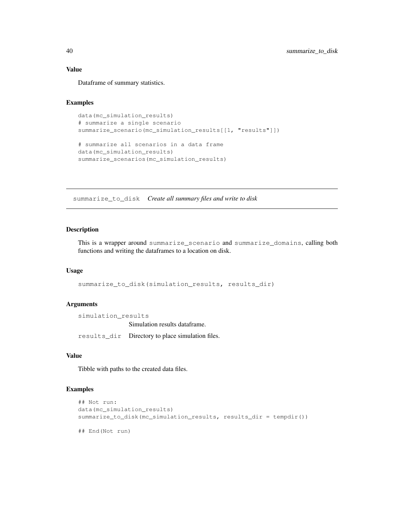### Value

Dataframe of summary statistics.

#### Examples

```
data(mc_simulation_results)
# summarize a single scenario
summarize_scenario(mc_simulation_results[[1, "results"]])
# summarize all scenarios in a data frame
data(mc_simulation_results)
summarize_scenarios(mc_simulation_results)
```
summarize\_to\_disk *Create all summary files and write to disk*

### Description

This is a wrapper around summarize\_scenario and summarize\_domains, calling both functions and writing the dataframes to a location on disk.

#### Usage

summarize\_to\_disk(simulation\_results, results\_dir)

#### Arguments

simulation\_results Simulation results dataframe. results\_dir Directory to place simulation files.

### Value

Tibble with paths to the created data files.

### Examples

```
## Not run:
data(mc_simulation_results)
summarize_to_disk(mc_simulation_results, results_dir = tempdir())
## End(Not run)
```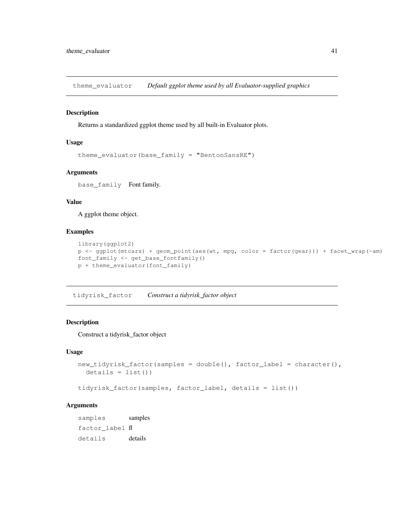theme\_evaluator *Default ggplot theme used by all Evaluator-supplied graphics*

#### Description

Returns a standardized ggplot theme used by all built-in Evaluator plots.

#### Usage

```
theme_evaluator(base_family = "BentonSansRE")
```
#### Arguments

base\_family Font family.

#### Value

A ggplot theme object.

#### Examples

```
library(ggplot2)
p <- ggplot(mtcars) + geom_point(aes(wt, mpg, color = factor(gear))) + facet_wrap(~am)
font_family <- get_base_fontfamily()
p + theme_evaluator(font_family)
```
tidyrisk\_factor *Construct a tidyrisk\_factor object*

#### Description

Construct a tidyrisk\_factor object

### Usage

```
new_tidyrisk_factor(samples = double(), factor_label = character(),
  details = list()
```

```
tidyrisk_factor(samples, factor_label, details = list())
```
### Arguments

samples samples factor\_label fl details details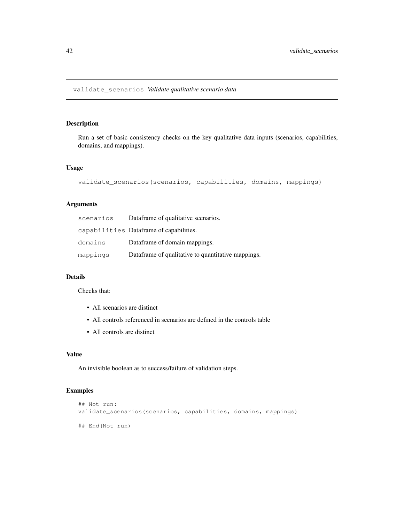Run a set of basic consistency checks on the key qualitative data inputs (scenarios, capabilities, domains, and mappings).

### Usage

```
validate_scenarios(scenarios, capabilities, domains, mappings)
```
### Arguments

| scenarios | Dataframe of qualitative scenarios.                |
|-----------|----------------------------------------------------|
|           | capabilities Dataframe of capabilities.            |
| domains   | Dataframe of domain mappings.                      |
| mappings  | Dataframe of qualitative to quantitative mappings. |

### Details

Checks that:

- All scenarios are distinct
- All controls referenced in scenarios are defined in the controls table
- All controls are distinct

### Value

An invisible boolean as to success/failure of validation steps.

### Examples

```
## Not run:
validate_scenarios(scenarios, capabilities, domains, mappings)
## End(Not run)
```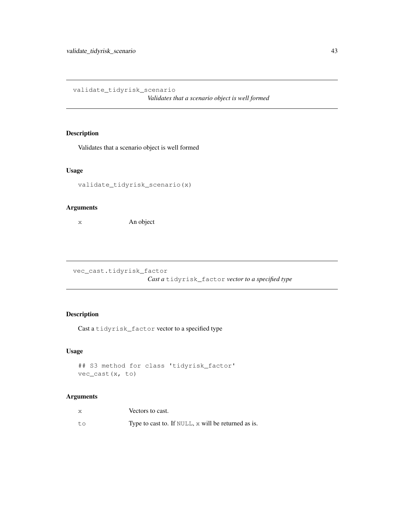validate\_tidyrisk\_scenario

*Validates that a scenario object is well formed*

### Description

Validates that a scenario object is well formed

### Usage

```
validate_tidyrisk_scenario(x)
```
### Arguments

x An object

vec\_cast.tidyrisk\_factor

*Cast a* tidyrisk\_factor *vector to a specified type*

### Description

Cast a tidyrisk\_factor vector to a specified type

### Usage

```
## S3 method for class 'tidyrisk_factor'
vec_cast(x, to)
```
## Arguments

| X  | Vectors to cast.                                    |
|----|-----------------------------------------------------|
| to | Type to cast to. If NULL, x will be returned as is. |